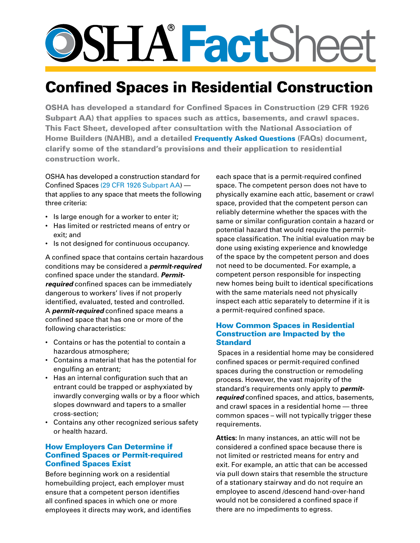# **SSHATactSheet**

# Confined Spaces in Residential Construction

OSHA has developed a standard for Confined Spaces in Construction (29 CFR 1926 Subpart AA) that applies to spaces such as attics, basements, and crawl spaces. This Fact Sheet, developed after consultation with the National Association of Home Builders (NAHB), and a detailed [Frequently Asked Questions](https://www.osha.gov/confinedspaces/faq.html) (FAQs) document, clarify some of the standard's provisions and their application to residential construction work.

OSHA has developed a construction standard for Confined Spaces [\(29 CFR 1926 Subpart AA](http://www.osha.gov/pls/oshaweb/owadisp.show_document?p_table=STANDARDS&p_id=14215)) that applies to any space that meets the following three criteria:

- Is large enough for a worker to enter it;
- Has limited or restricted means of entry or exit; and
- Is not designed for continuous occupancy.

A confined space that contains certain hazardous conditions may be considered a *permit-required* confined space under the standard. *Permitrequired* confined spaces can be immediately dangerous to workers' lives if not properly identified, evaluated, tested and controlled. A *permit-required* confined space means a confined space that has one or more of the following characteristics:

- Contains or has the potential to contain a hazardous atmosphere;
- Contains a material that has the potential for engulfing an entrant;
- Has an internal configuration such that an entrant could be trapped or asphyxiated by inwardly converging walls or by a floor which slopes downward and tapers to a smaller cross-section;
- Contains any other recognized serious safety or health hazard.

# How Employers Can Determine if Confined Spaces or Permit-required Confined Spaces Exist

Before beginning work on a residential homebuilding project, each employer must ensure that a competent person identifies all confined spaces in which one or more employees it directs may work, and identifies each space that is a permit-required confined space. The competent person does not have to physically examine each attic, basement or crawl space, provided that the competent person can reliably determine whether the spaces with the same or similar configuration contain a hazard or potential hazard that would require the permitspace classification. The initial evaluation may be done using existing experience and knowledge of the space by the competent person and does not need to be documented. For example, a competent person responsible for inspecting new homes being built to identical specifications with the same materials need not physically inspect each attic separately to determine if it is a permit-required confined space.

#### How Common Spaces in Residential Construction are Impacted by the **Standard**

 Spaces in a residential home may be considered confined spaces or permit-required confined spaces during the construction or remodeling process. However, the vast majority of the standard's requirements only apply to *permitrequired* confined spaces, and attics, basements, and crawl spaces in a residential home — three common spaces – will not typically trigger these requirements.

**Attics:** In many instances, an attic will not be considered a confined space because there is not limited or restricted means for entry and exit. For example, an attic that can be accessed via pull down stairs that resemble the structure of a stationary stairway and do not require an employee to ascend /descend hand-over-hand would not be considered a confined space if there are no impediments to egress.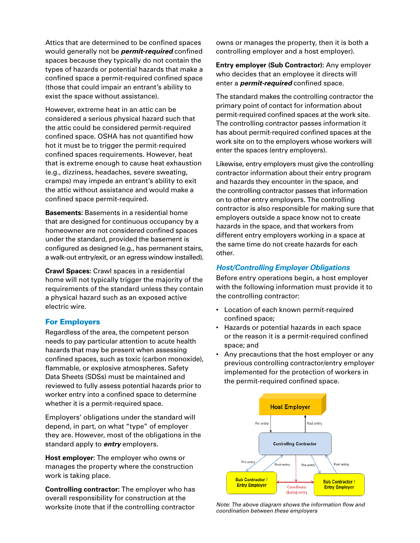Attics that are determined to be confined spaces would generally not be *permit-required* confined spaces because they typically do not contain the types of hazards or potential hazards that make a confined space a permit-required confined space (those that could impair an entrant's ability to exist the space without assistance).

However, extreme heat in an attic can be considered a serious physical hazard such that the attic could be considered permit-required confined space. OSHA has not quantified how hot it must be to trigger the permit-required confined spaces requirements. However, heat that is extreme enough to cause heat exhaustion (e.g., dizziness, headaches, severe sweating, cramps) may impede an entrant's ability to exit the attic without assistance and would make a confined space permit-required.

**Basements:** Basements in a residential home that are designed for continuous occupancy by a homeowner are not considered confined spaces under the standard, provided the basement is configured as designed (e.g., has permanent stairs, a walk-out entry/exit, or an egress window installed).

**Crawl Spaces:** Crawl spaces in a residential home will not typically trigger the majority of the requirements of the standard unless they contain a physical hazard such as an exposed active electric wire.

#### For Employers

Regardless of the area, the competent person needs to pay particular attention to acute health hazards that may be present when assessing confined spaces, such as toxic (carbon monoxide), flammable, or explosive atmospheres. Safety Data Sheets (SDSs) must be maintained and reviewed to fully assess potential hazards prior to worker entry into a confined space to determine whether it is a permit-required space.

Employers' obligations under the standard will depend, in part, on what "type" of employer they are. However, most of the obligations in the standard apply to *entry* employers.

**Host employer:** The employer who owns or manages the property where the construction work is taking place.

**Controlling contractor:** The employer who has overall responsibility for construction at the worksite (note that if the controlling contractor

owns or manages the property, then it is both a controlling employer and a host employer).

**Entry employer (Sub Contractor):** Any employer who decides that an employee it directs will enter a *permit-required* confined space.

The standard makes the controlling contractor the primary point of contact for information about permit-required confined spaces at the work site. The controlling contractor passes information it has about permit-required confined spaces at the work site on to the employers whose workers will enter the spaces (entry employers).

Likewise, entry employers must give the controlling contractor information about their entry program and hazards they encounter in the space, and the controlling contractor passes that information on to other entry employers. The controlling contractor is also responsible for making sure that employers outside a space know not to create hazards in the space, and that workers from different entry employers working in a space at the same time do not create hazards for each other.

#### *Host/Controlling Employer Obligations*

Before entry operations begin, a host employer with the following information must provide it to the controlling contractor:

- Location of each known permit-required confined space;
- Hazards or potential hazards in each space or the reason it is a permit-required confined space; and
- Any precautions that the host employer or any previous controlling contractor/entry employer implemented for the protection of workers in the permit-required confined space.



*Note: The above diagram shows the information flow and coordination between these employers*